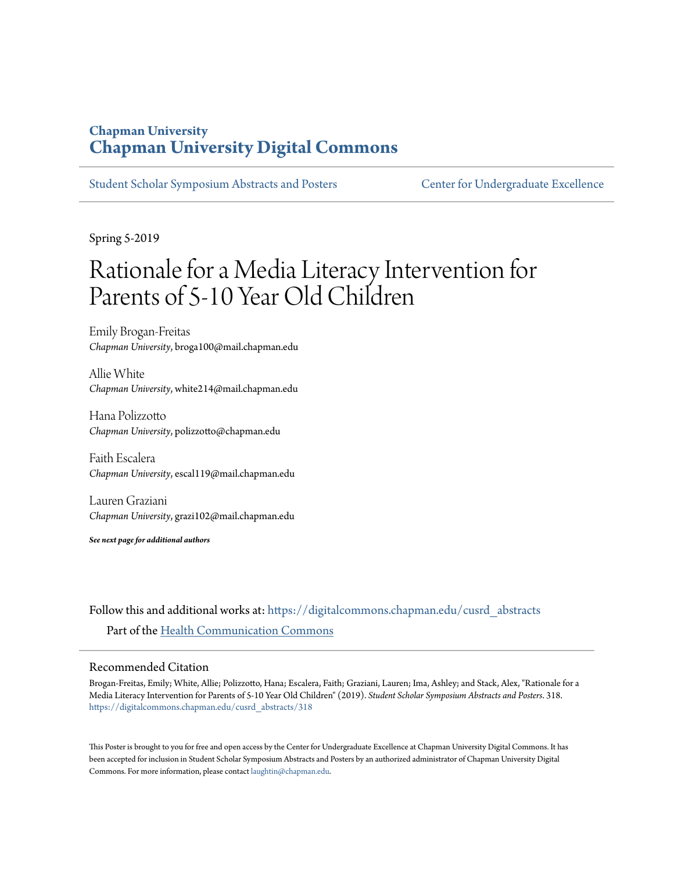#### **Chapman University [Chapman University Digital Commons](https://digitalcommons.chapman.edu?utm_source=digitalcommons.chapman.edu%2Fcusrd_abstracts%2F318&utm_medium=PDF&utm_campaign=PDFCoverPages)**

[Student Scholar Symposium Abstracts and Posters](https://digitalcommons.chapman.edu/cusrd_abstracts?utm_source=digitalcommons.chapman.edu%2Fcusrd_abstracts%2F318&utm_medium=PDF&utm_campaign=PDFCoverPages) [Center for Undergraduate Excellence](https://digitalcommons.chapman.edu/cue?utm_source=digitalcommons.chapman.edu%2Fcusrd_abstracts%2F318&utm_medium=PDF&utm_campaign=PDFCoverPages)

Spring 5-2019

### Rationale for a Media Literacy Intervention for Parents of 5-10 Year Old Children

Emily Brogan-Freitas *Chapman University*, broga100@mail.chapman.edu

Allie White *Chapman University*, white214@mail.chapman.edu

Hana Polizzotto *Chapman University*, polizzotto@chapman.edu

Faith Escalera *Chapman University*, escal119@mail.chapman.edu

Lauren Graziani *Chapman University*, grazi102@mail.chapman.edu

*See next page for additional authors*

Follow this and additional works at: [https://digitalcommons.chapman.edu/cusrd\\_abstracts](https://digitalcommons.chapman.edu/cusrd_abstracts?utm_source=digitalcommons.chapman.edu%2Fcusrd_abstracts%2F318&utm_medium=PDF&utm_campaign=PDFCoverPages) Part of the [Health Communication Commons](http://network.bepress.com/hgg/discipline/330?utm_source=digitalcommons.chapman.edu%2Fcusrd_abstracts%2F318&utm_medium=PDF&utm_campaign=PDFCoverPages)

#### Recommended Citation

Brogan-Freitas, Emily; White, Allie; Polizzotto, Hana; Escalera, Faith; Graziani, Lauren; Ima, Ashley; and Stack, Alex, "Rationale for a Media Literacy Intervention for Parents of 5-10 Year Old Children" (2019). *Student Scholar Symposium Abstracts and Posters*. 318. [https://digitalcommons.chapman.edu/cusrd\\_abstracts/318](https://digitalcommons.chapman.edu/cusrd_abstracts/318?utm_source=digitalcommons.chapman.edu%2Fcusrd_abstracts%2F318&utm_medium=PDF&utm_campaign=PDFCoverPages)

This Poster is brought to you for free and open access by the Center for Undergraduate Excellence at Chapman University Digital Commons. It has been accepted for inclusion in Student Scholar Symposium Abstracts and Posters by an authorized administrator of Chapman University Digital Commons. For more information, please contact [laughtin@chapman.edu](mailto:laughtin@chapman.edu).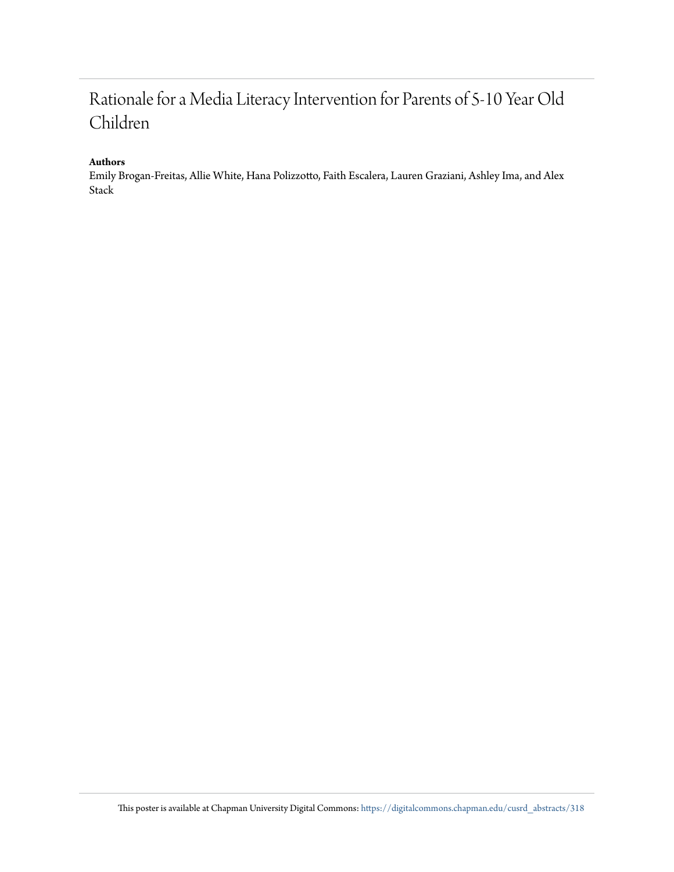#### Rationale for a Media Literacy Intervention for Parents of 5-10 Year Old Children

#### **Authors**

Emily Brogan-Freitas, Allie White, Hana Polizzotto, Faith Escalera, Lauren Graziani, Ashley Ima, and Alex Stack